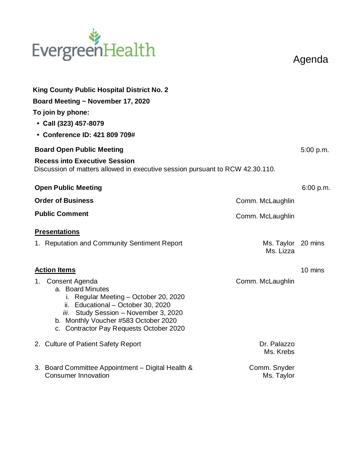# EvergreenHealth

Agenda

| <b>King County Public Hospital District No. 2</b>                                                                                                                                                                                                      |                                 |           |  |  |
|--------------------------------------------------------------------------------------------------------------------------------------------------------------------------------------------------------------------------------------------------------|---------------------------------|-----------|--|--|
| Board Meeting ~ November 17, 2020                                                                                                                                                                                                                      |                                 |           |  |  |
| To join by phone:                                                                                                                                                                                                                                      |                                 |           |  |  |
| • Call (323) 457-8079                                                                                                                                                                                                                                  |                                 |           |  |  |
| • Conference ID: 421 809 709#                                                                                                                                                                                                                          |                                 |           |  |  |
| <b>Board Open Public Meeting</b>                                                                                                                                                                                                                       |                                 | 5:00 p.m. |  |  |
| <b>Recess into Executive Session</b><br>Discussion of matters allowed in executive session pursuant to RCW 42.30.110.                                                                                                                                  |                                 |           |  |  |
| <b>Open Public Meeting</b>                                                                                                                                                                                                                             |                                 | 6:00 p.m. |  |  |
| <b>Order of Business</b>                                                                                                                                                                                                                               | Comm. McLaughlin                |           |  |  |
| <b>Public Comment</b>                                                                                                                                                                                                                                  | Comm. McLaughlin                |           |  |  |
| <b>Presentations</b>                                                                                                                                                                                                                                   |                                 |           |  |  |
| 1. Reputation and Community Sentiment Report                                                                                                                                                                                                           | Ms. Taylor 20 mins<br>Ms. Lizza |           |  |  |
| <b>Action Items</b>                                                                                                                                                                                                                                    |                                 |           |  |  |
| Consent Agenda<br>1.<br>a. Board Minutes<br>Regular Meeting - October 20, 2020<br>İ.<br>ii. Educational - October 30, 2020<br>iii. Study Session - November 3, 2020<br>b. Monthly Voucher #583 October 2020<br>c. Contractor Pay Requests October 2020 | Comm. McLaughlin                |           |  |  |
| 2. Culture of Patient Safety Report                                                                                                                                                                                                                    | Dr. Palazzo<br>Ms. Krebs        |           |  |  |
| 3. Board Committee Appointment - Digital Health &<br><b>Consumer Innovation</b>                                                                                                                                                                        | Comm. Snyder<br>Ms. Taylor      |           |  |  |